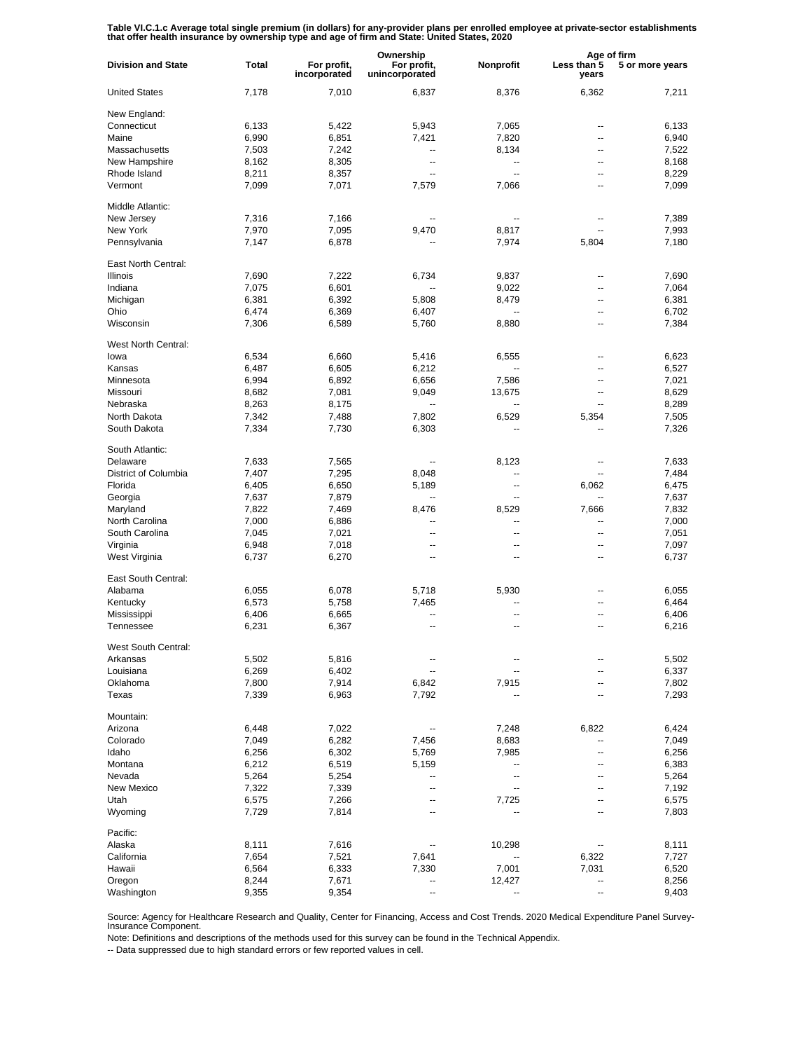Table VI.C.1.c Average total single premium (in dollars) for any-provider plans per enrolled employee at private-sector establishments<br>that offer health insurance by ownership type and age of firm and State: United States,

|                           |       |                             | Ownership                     |                          |                          | Age of firm     |  |
|---------------------------|-------|-----------------------------|-------------------------------|--------------------------|--------------------------|-----------------|--|
| <b>Division and State</b> | Total | For profit,<br>incorporated | For profit,<br>unincorporated | Nonprofit                | Less than 5<br>years     | 5 or more years |  |
| <b>United States</b>      | 7,178 | 7,010                       | 6,837                         | 8,376                    | 6,362                    | 7,211           |  |
| New England:              |       |                             |                               |                          |                          |                 |  |
| Connecticut               | 6,133 | 5,422                       | 5,943                         | 7,065                    | --                       | 6,133           |  |
| Maine                     | 6,990 | 6,851                       | 7,421                         | 7,820                    | --                       | 6,940           |  |
| Massachusetts             | 7,503 | 7,242                       | --                            | 8,134                    | --                       | 7,522           |  |
| New Hampshire             | 8,162 | 8,305                       | --                            | ۰.                       | $\overline{a}$           | 8,168           |  |
| Rhode Island              | 8,211 | 8,357                       | $\overline{a}$                | $\overline{a}$           | --                       | 8,229           |  |
|                           |       |                             |                               |                          |                          |                 |  |
| Vermont                   | 7,099 | 7,071                       | 7,579                         | 7,066                    | --                       | 7,099           |  |
| Middle Atlantic:          |       |                             |                               |                          |                          |                 |  |
| New Jersey                | 7,316 | 7,166                       |                               | --                       | --                       | 7,389           |  |
| New York                  | 7,970 | 7,095                       | 9,470                         | 8,817                    | --                       | 7,993           |  |
| Pennsylvania              | 7,147 | 6,878                       |                               | 7,974                    | 5,804                    | 7,180           |  |
| East North Central:       |       |                             |                               |                          |                          |                 |  |
| <b>Illinois</b>           | 7,690 | 7,222                       | 6,734                         | 9,837                    | $\overline{a}$           | 7,690           |  |
| Indiana                   | 7,075 | 6,601                       | $\overline{\phantom{a}}$      | 9,022                    | $\overline{a}$           | 7,064           |  |
| Michigan                  | 6,381 | 6,392                       | 5,808                         | 8,479                    | --                       | 6,381           |  |
| Ohio                      | 6,474 | 6,369                       | 6,407                         | $\overline{a}$           | $\overline{a}$           | 6,702           |  |
| Wisconsin                 | 7,306 | 6,589                       | 5,760                         | 8,880                    | --                       | 7,384           |  |
|                           |       |                             |                               |                          |                          |                 |  |
| West North Central:       |       |                             |                               |                          |                          |                 |  |
| lowa                      | 6,534 | 6,660                       | 5,416                         | 6,555                    | --                       | 6,623           |  |
| Kansas                    | 6,487 | 6,605                       | 6,212                         | --                       | --                       | 6,527           |  |
| Minnesota                 | 6,994 | 6,892                       | 6,656                         | 7,586                    | --                       | 7,021           |  |
| Missouri                  | 8,682 | 7,081                       | 9,049                         | 13,675                   | --                       | 8,629           |  |
| Nebraska                  | 8,263 | 8,175                       |                               | --                       | $\overline{\phantom{a}}$ | 8,289           |  |
| North Dakota              | 7,342 | 7,488                       | 7,802                         | 6,529                    | 5,354                    | 7,505           |  |
| South Dakota              | 7,334 | 7,730                       | 6,303                         |                          |                          | 7,326           |  |
|                           |       |                             |                               |                          |                          |                 |  |
| South Atlantic:           |       |                             |                               |                          |                          |                 |  |
| Delaware                  | 7,633 | 7,565                       | --                            | 8,123                    | --                       | 7,633           |  |
| District of Columbia      | 7,407 | 7,295                       | 8,048                         | $\overline{\phantom{a}}$ | --                       | 7,484           |  |
| Florida                   | 6,405 | 6,650                       | 5,189                         | $\overline{\phantom{a}}$ | 6,062                    | 6,475           |  |
| Georgia                   | 7,637 | 7,879                       | --                            | $\overline{\phantom{a}}$ | --                       | 7,637           |  |
| Maryland                  | 7,822 | 7,469                       | 8,476                         | 8,529                    | 7,666                    | 7,832           |  |
| North Carolina            | 7,000 | 6,886                       | --                            | $\overline{\phantom{a}}$ | --                       | 7,000           |  |
| South Carolina            | 7,045 | 7,021                       | --                            | $\overline{\phantom{a}}$ | --                       | 7,051           |  |
| Virginia                  | 6,948 | 7,018                       | --                            | $\overline{\phantom{a}}$ | --                       | 7,097           |  |
|                           |       |                             | --                            | $\overline{\phantom{a}}$ | $-$                      |                 |  |
| West Virginia             | 6,737 | 6,270                       |                               |                          |                          | 6,737           |  |
| East South Central:       |       |                             |                               |                          |                          |                 |  |
| Alabama                   | 6,055 | 6,078                       | 5,718                         | 5,930                    | --                       | 6,055           |  |
| Kentucky                  | 6,573 | 5,758                       | 7,465                         | $\overline{a}$           | --                       | 6,464           |  |
| Mississippi               | 6,406 | 6,665                       |                               | --                       | --                       | 6,406           |  |
| Tennessee                 | 6,231 | 6,367                       | --                            | $\overline{\phantom{a}}$ | $\overline{a}$           | 6,216           |  |
|                           |       |                             |                               |                          |                          |                 |  |
| West South Central:       |       |                             |                               |                          |                          |                 |  |
| Arkansas                  | 5,502 | 5,816                       |                               |                          |                          | 5,502           |  |
| Louisiana                 | 6,269 | 6,402                       |                               | ⊷                        | --                       | 6,337           |  |
| Oklahoma                  | 7,800 | 7,914                       | 6,842                         | 7,915                    | --                       | 7,802           |  |
| Texas                     | 7,339 | 6,963                       | 7,792                         |                          |                          | 7,293           |  |
| Mountain:                 |       |                             |                               |                          |                          |                 |  |
| Arizona                   | 6,448 | 7,022                       |                               | 7,248                    | 6,822                    | 6,424           |  |
|                           |       |                             |                               |                          |                          |                 |  |
| Colorado                  | 7,049 | 6,282                       | 7,456                         | 8,683                    | -−                       | 7,049           |  |
| Idaho                     | 6,256 | 6,302                       | 5,769                         | 7,985                    | ۰.                       | 6,256           |  |
| Montana                   | 6,212 | 6,519                       | 5,159                         | --                       | --                       | 6,383           |  |
| Nevada                    | 5,264 | 5,254                       | --                            | $\overline{\phantom{a}}$ | --                       | 5,264           |  |
| New Mexico                | 7,322 | 7,339                       | --                            | $\overline{\phantom{a}}$ | --                       | 7,192           |  |
| Utah                      | 6,575 | 7,266                       | --                            | 7,725                    | --                       | 6,575           |  |
| Wyoming                   | 7,729 | 7,814                       | --                            |                          | --                       | 7,803           |  |
| Pacific:                  |       |                             |                               |                          |                          |                 |  |
|                           |       |                             |                               |                          |                          |                 |  |
| Alaska                    | 8,111 | 7,616                       |                               | 10,298                   |                          | 8,111           |  |
| California                | 7,654 | 7,521                       | 7,641                         |                          | 6,322                    | 7,727           |  |
| Hawaii                    | 6,564 | 6,333                       | 7,330                         | 7,001                    | 7,031                    | 6,520           |  |
| Oregon                    | 8,244 | 7,671                       |                               | 12,427                   | --                       | 8,256           |  |
| Washington                | 9,355 | 9,354                       |                               |                          |                          | 9,403           |  |

Source: Agency for Healthcare Research and Quality, Center for Financing, Access and Cost Trends. 2020 Medical Expenditure Panel Survey-Insurance Component.

Note: Definitions and descriptions of the methods used for this survey can be found in the Technical Appendix.

-- Data suppressed due to high standard errors or few reported values in cell.